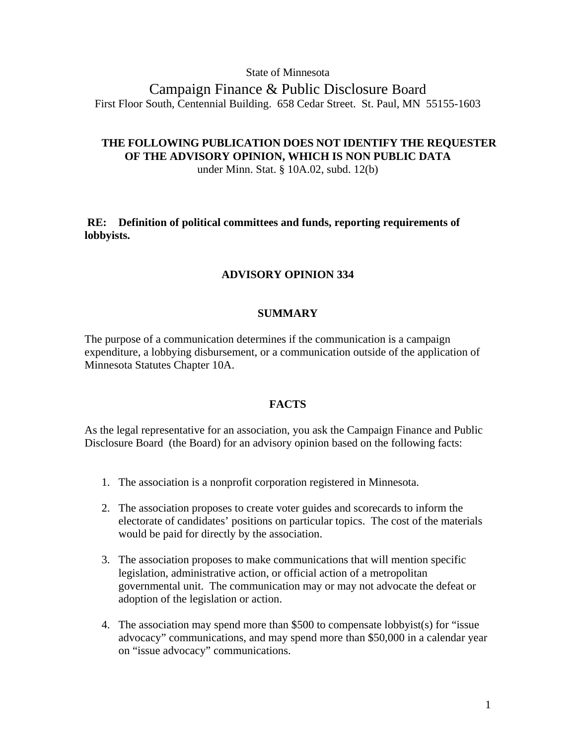## State of Minnesota

Campaign Finance & Public Disclosure Board First Floor South, Centennial Building. 658 Cedar Street. St. Paul, MN 55155-1603

# **THE FOLLOWING PUBLICATION DOES NOT IDENTIFY THE REQUESTER OF THE ADVISORY OPINION, WHICH IS NON PUBLIC DATA**

under Minn. Stat. § 10A.02, subd. 12(b)

**RE: Definition of political committees and funds, reporting requirements of lobbyists.**

## **ADVISORY OPINION 334**

### **SUMMARY**

The purpose of a communication determines if the communication is a campaign expenditure, a lobbying disbursement, or a communication outside of the application of Minnesota Statutes Chapter 10A.

## **FACTS**

As the legal representative for an association, you ask the Campaign Finance and Public Disclosure Board (the Board) for an advisory opinion based on the following facts:

- 1. The association is a nonprofit corporation registered in Minnesota.
- 2. The association proposes to create voter guides and scorecards to inform the electorate of candidates' positions on particular topics. The cost of the materials would be paid for directly by the association.
- 3. The association proposes to make communications that will mention specific legislation, administrative action, or official action of a metropolitan governmental unit. The communication may or may not advocate the defeat or adoption of the legislation or action.
- 4. The association may spend more than \$500 to compensate lobbyist(s) for "issue advocacy" communications, and may spend more than \$50,000 in a calendar year on "issue advocacy" communications.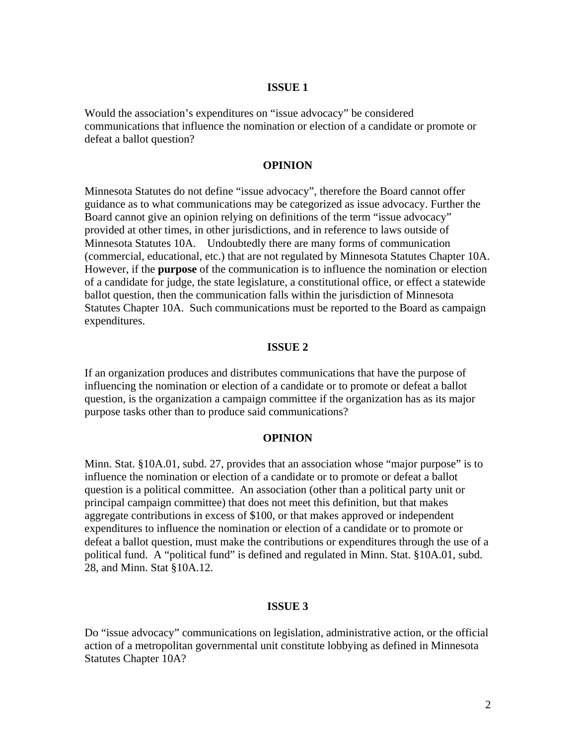### **ISSUE 1**

Would the association's expenditures on "issue advocacy" be considered communications that influence the nomination or election of a candidate or promote or defeat a ballot question?

## **OPINION**

Minnesota Statutes do not define "issue advocacy", therefore the Board cannot offer guidance as to what communications may be categorized as issue advocacy. Further the Board cannot give an opinion relying on definitions of the term "issue advocacy" provided at other times, in other jurisdictions, and in reference to laws outside of Minnesota Statutes 10A. Undoubtedly there are many forms of communication (commercial, educational, etc.) that are not regulated by Minnesota Statutes Chapter 10A. However, if the **purpose** of the communication is to influence the nomination or election of a candidate for judge, the state legislature, a constitutional office, or effect a statewide ballot question, then the communication falls within the jurisdiction of Minnesota Statutes Chapter 10A. Such communications must be reported to the Board as campaign expenditures.

### **ISSUE 2**

If an organization produces and distributes communications that have the purpose of influencing the nomination or election of a candidate or to promote or defeat a ballot question, is the organization a campaign committee if the organization has as its major purpose tasks other than to produce said communications?

#### **OPINION**

Minn. Stat. §10A.01, subd. 27, provides that an association whose "major purpose" is to influence the nomination or election of a candidate or to promote or defeat a ballot question is a political committee. An association (other than a political party unit or principal campaign committee) that does not meet this definition, but that makes aggregate contributions in excess of \$100, or that makes approved or independent expenditures to influence the nomination or election of a candidate or to promote or defeat a ballot question, must make the contributions or expenditures through the use of a political fund. A "political fund" is defined and regulated in Minn. Stat. §10A.01, subd. 28, and Minn. Stat §10A.12.

#### **ISSUE 3**

Do "issue advocacy" communications on legislation, administrative action, or the official action of a metropolitan governmental unit constitute lobbying as defined in Minnesota Statutes Chapter 10A?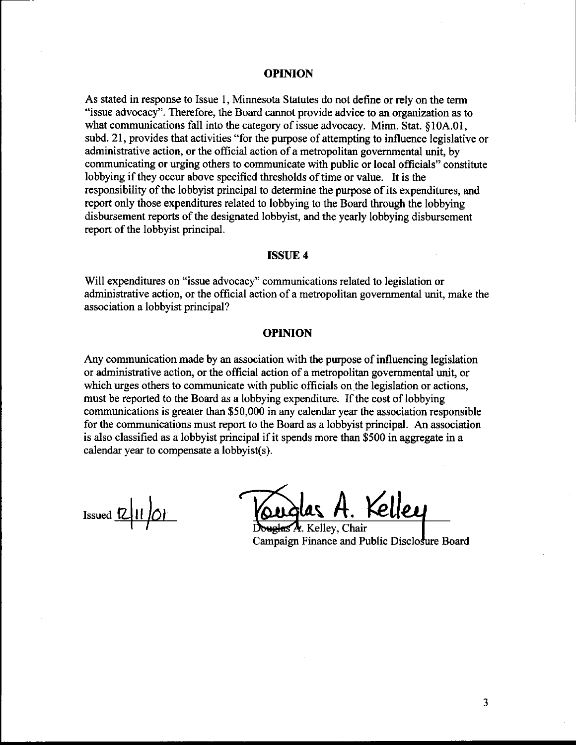#### **OPINION**

As stated in response to Issue 1, Minnesota Statutes do not define or rely on the term "issue advocacy". Therefore, the Board cannot provide advice to an organization as to what communications fall into the category of issue advocacy. Minn. Stat. §10A.01, subd. 21, provides that activities "for the purpose of attempting to influence legislative or administrative action, or the official action of a metropolitan governmental unit, by communicating or urging others to communicate with public or local officials" constitute lobbying if they occur above specified thresholds of time or value. It is the responsibility of the lobbyist principal to determine the purpose of its expenditures, and report only those expenditures related to lobbying to the Board through the lobbying disbursement reports of the designated lobbyist, and the yearly lobbying disbursement report of the lobbyist principal.

### **ISSUE 4**

Will expenditures on "issue advocacy" communications related to legislation or administrative action, or the official action of a metropolitan governmental unit, make the association a lobbyist principal?

### **OPINION**

Any communication made by an association with the purpose of influencing legislation or administrative action, or the official action of a metropolitan governmental unit, or which urges others to communicate with public officials on the legislation or actions, must be reported to the Board as a lobbying expenditure. If the cost of lobbying communications is greater than \$50,000 in any calendar year the association responsible for the communications must report to the Board as a lobbyist principal. An association is also classified as a lobbyist principal if it spends more than \$500 in aggregate in a calendar year to compensate a lobbyist(s).

 $\frac{1}{\frac{R}{\frac{1}{R}}\left|\frac{1}{R}\right|}$  Touglas A. Kelley

Campaign Finance and Public Disclo

3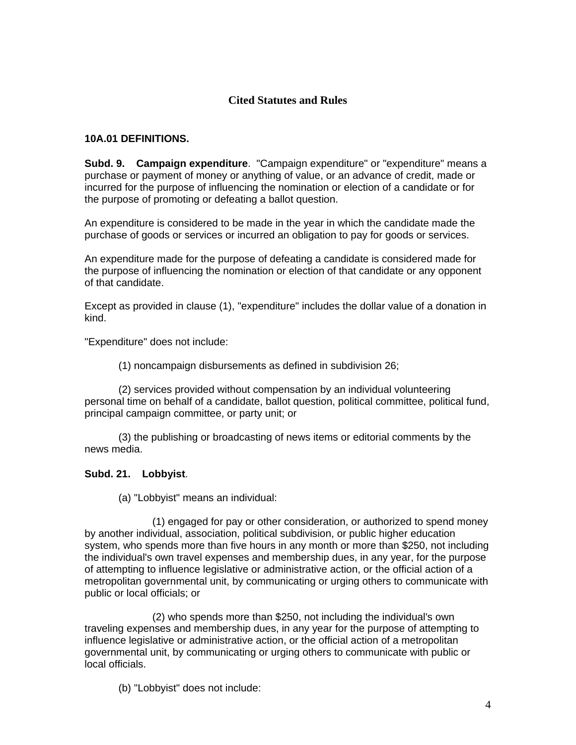# **Cited Statutes and Rules**

## **10A.01 DEFINITIONS.**

**Subd. 9. Campaign expenditure**. "Campaign expenditure" or "expenditure" means a purchase or payment of money or anything of value, or an advance of credit, made or incurred for the purpose of influencing the nomination or election of a candidate or for the purpose of promoting or defeating a ballot question.

An expenditure is considered to be made in the year in which the candidate made the purchase of goods or services or incurred an obligation to pay for goods or services.

An expenditure made for the purpose of defeating a candidate is considered made for the purpose of influencing the nomination or election of that candidate or any opponent of that candidate.

Except as provided in clause (1), "expenditure" includes the dollar value of a donation in kind.

"Expenditure" does not include:

(1) noncampaign disbursements as defined in subdivision 26;

 (2) services provided without compensation by an individual volunteering personal time on behalf of a candidate, ballot question, political committee, political fund, principal campaign committee, or party unit; or

 (3) the publishing or broadcasting of news items or editorial comments by the news media.

### **Subd. 21. Lobbyist**.

(a) "Lobbyist" means an individual:

 (1) engaged for pay or other consideration, or authorized to spend money by another individual, association, political subdivision, or public higher education system, who spends more than five hours in any month or more than \$250, not including the individual's own travel expenses and membership dues, in any year, for the purpose of attempting to influence legislative or administrative action, or the official action of a metropolitan governmental unit, by communicating or urging others to communicate with public or local officials; or

 (2) who spends more than \$250, not including the individual's own traveling expenses and membership dues, in any year for the purpose of attempting to influence legislative or administrative action, or the official action of a metropolitan governmental unit, by communicating or urging others to communicate with public or local officials.

(b) "Lobbyist" does not include: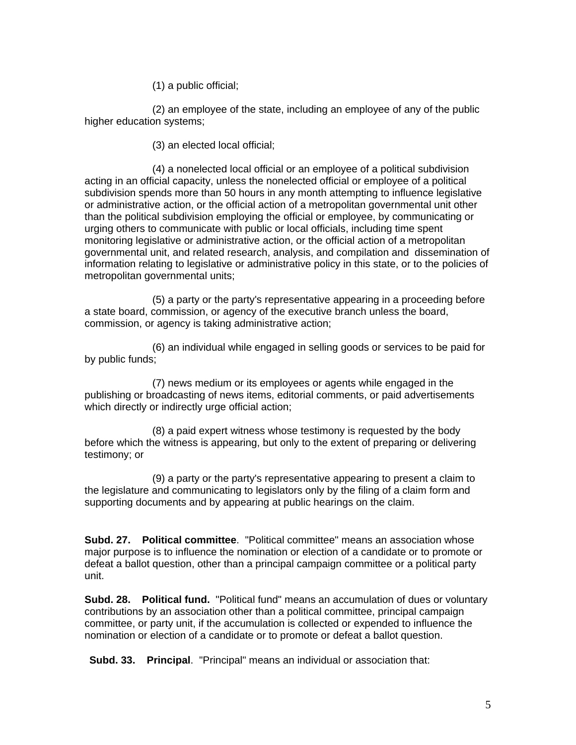(1) a public official;

 (2) an employee of the state, including an employee of any of the public higher education systems;

(3) an elected local official;

 (4) a nonelected local official or an employee of a political subdivision acting in an official capacity, unless the nonelected official or employee of a political subdivision spends more than 50 hours in any month attempting to influence legislative or administrative action, or the official action of a metropolitan governmental unit other than the political subdivision employing the official or employee, by communicating or urging others to communicate with public or local officials, including time spent monitoring legislative or administrative action, or the official action of a metropolitan governmental unit, and related research, analysis, and compilation and dissemination of information relating to legislative or administrative policy in this state, or to the policies of metropolitan governmental units;

 (5) a party or the party's representative appearing in a proceeding before a state board, commission, or agency of the executive branch unless the board, commission, or agency is taking administrative action;

 (6) an individual while engaged in selling goods or services to be paid for by public funds;

 (7) news medium or its employees or agents while engaged in the publishing or broadcasting of news items, editorial comments, or paid advertisements which directly or indirectly urge official action;

 (8) a paid expert witness whose testimony is requested by the body before which the witness is appearing, but only to the extent of preparing or delivering testimony; or

 (9) a party or the party's representative appearing to present a claim to the legislature and communicating to legislators only by the filing of a claim form and supporting documents and by appearing at public hearings on the claim.

**Subd. 27. Political committee**. "Political committee" means an association whose major purpose is to influence the nomination or election of a candidate or to promote or defeat a ballot question, other than a principal campaign committee or a political party unit.

**Subd. 28. Political fund.** "Political fund" means an accumulation of dues or voluntary contributions by an association other than a political committee, principal campaign committee, or party unit, if the accumulation is collected or expended to influence the nomination or election of a candidate or to promote or defeat a ballot question.

 **Subd. 33. Principal**. "Principal" means an individual or association that: